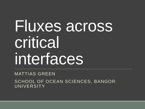# Fluxes across critical interfaces

MATTIAS GREEN SCHOOL OF OCEAN SCIENCES, BANGOR UNIVERSITY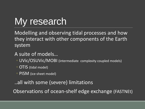# My research

Modelling and observing tidal processes and how they interact with other components of the Earth system

#### A suite of models…

- UVic/OSUVic/MOBI (intermediate complexity coupled models)
- OTIS (tidal model)
- PISM (ice-sheet model)

..all with some (severe) limitations

Observations of ocean-shelf edge exchange (FASTNEt)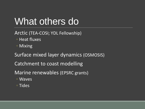### What others do

Arctic (TEA-COSI; YDL Fellowship)

- Heat fluxes
- Mixing

Surface mixed layer dynamics (OSMOSIS)

Catchment to coast modelling

Marine renewables (EPSRC grants)

- Waves
- Tides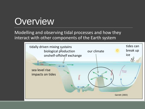### **Overview**

#### Modelling and observing tidal processes and how they interact with other components of the Earth system

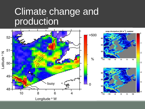#### Climate change and production

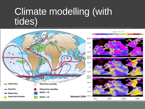#### Climate modelling (with tides)

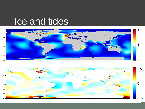#### Ice and tides



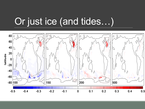### Or just ice (and tides…)

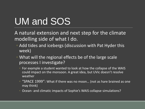# UM and SOS

A natural extension and next step for the climate modelling side of what I do.

- Add tides and icebergs (discussion with Pat Hyder this week)
- What will the regional effects be of the large scale processes I investigate?
	- For example a student wanted to look at how the collapse of the WAIS could impact on the monsoon. A great idea, but UVic doesn't resolve weather
	- "SPACE 1999": What if there was no moon… (not as hare brained as one may think)
	- Ocean- and climatic impacts of Sophie's WAIS collapse simulations?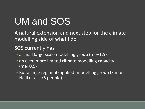# UM and SOS

A natural extension and next step for the climate modelling side of what I do

#### SOS currently has

- a small large-scale modelling group (me+1.5)
- an even more limited climate modelling capacity (me+0.5)
- But a large regional (applied) modelling group (Simon Neill et al., >5 people)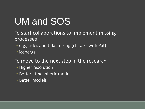# UM and SOS

To start collaborations to implement missing processes

- e.g., tides and tidal mixing (cf. talks with Pat)
- icebergs
- To move to the next step in the research
	- Higher resolution
	- Better atmospheric models
	- Better models